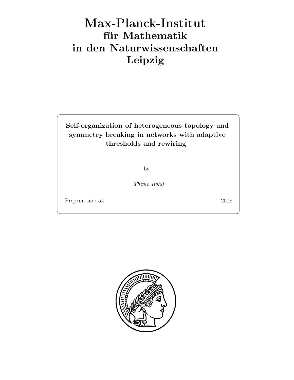## Max-Plan
k-Institut für Mathematik in den Naturwissenschaften Leipzig

Self-organization of heterogeneous topology and symmetry breaking in networks with adaptive thresholds and rewiring

by

Thimo Rohlf

Preprint no.: 54 2008

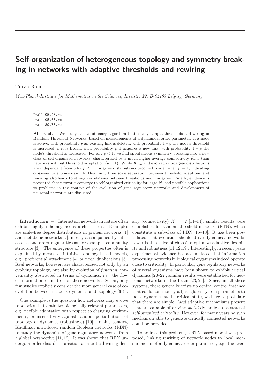## Self-organization of heterogeneous topology and symmetry breaking in networks with adaptive thresholds and rewiring

## Thimo Rohlf

Max-Planck-Institute for Mathematics in the Sciences, Inselstr. 22, D-04103 Leipzig, Germany

PACS 05.45.-a – PACS 05.65.+b – PACS 89.75.-k –

Abstract. - We study an evolutionary algorithm that locally adapts thresholds and wiring in Random Threshold Networks, based on measurements of a dynamical order parameter. If a node is active, with probability p an existing link is deleted, with probability  $1 - p$  the node's threshold is increased, if it is frozen, with probability p it acquires a new link, with probability  $1 - p$  the node's threshold is decreased. For any  $p < 1$ , we find spontaneous symmetry breaking into a new class of self-organized networks, characterized by a much higher average connectivity  $\bar{K}_{evo}$  than networks without threshold adaptation ( $p = 1$ ). While  $\bar{K}_{evo}$  and evolved out-degree distributions are independent from p for  $p < 1$ , in-degree distributions become broader when  $p \rightarrow 1$ , indicating crossover to a power-law. In this limit, time scale separation between threshold adaptions and rewiring also leads to strong correlations between thresholds and in-degree. Finally, evidence is presented that networks converge to self-organized criticality for large N, and possible applications to problems in the context of the evolution of gene regulatory networks and development of neuronal networks are discussed.

Introduction. – Interaction networks in nature often exhibit highly inhomogeneous architectures. Examples are scale-free degree distributions in protein networks [1] and metabolic networks [2], mostly accompanied by intricate second order regularities as, for example, community structure [3]. The emergence of these properties often is explained by means of intuitive topology-based models, e.g. preferential attachment [4] or node duplications [5]. Real networks, however, are characterized not only by an evolving topology, but also by evolution of function, conveniently abstracted in terms of dynamics, i.e. the flow of information or matter on these networks. So far, only few studies explicitly consider the more general case of coevolution between network dynamics and -topology [6–9].

One example is the question how networks may evolve topologies that optimize biologically relevant parameters, e.g. flexible adaptation with respect to changing environments, or insensitivity against random perturbations of topology or dynamics (robustness) [10]. In this context, Kauffman introduced random Boolean networks (RBN) to study the dynamics of gene regulatory networks from a global perspective [11, 12]. It was shown that RBN undergo a order-disorder transition at a critical wiring density (connectivity)  $K_c = 2$  [11–14]; similar results were established for random threshold networks (RTN), which constitute a sub-class of RBN [15–18]. It has been postulated that evolution should drive dynamical networks towards this 'edge of chaos' to optimize adaptive flexibility and robustness [11,12,19]. Interestingly, in recent years experimental evidence has accumulated that information processing networks in biological organisms indeed operate close to criticality. In particular, gene regulatory networks of several organisms have been shown to exhibit critical dynamics [20–22], similar results were established for neuronal networks in the brain [23, 24]. Since, in all these systems, there generally exists no central control instance that could continously adjust global system parameters to poise dynamics at the critical state, we have to postulate that there are simple, local adaptive mechanisms present that are capable of driving global dynamics to a state of self-organized criticality. However, for many years no such mechanism able to generate critically connected networks could be provided.

To address this problem, a RTN-based model was proposed, linking rewiring of network nodes to local measurements of a dynamical order parameter, e.g. the aver-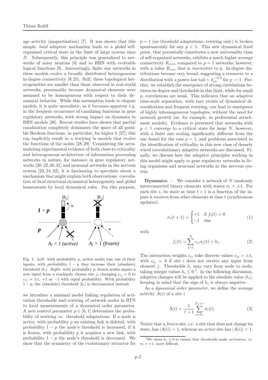age activity (magnetization) [7]. It was shown that this simple, local adaptive mechanism leads to a global selforganized critical state in the limit of large system sizes N. Subsequently, this principle was generalized to networks of noisy neurons [8] and to RBN with evolvable logical functions [9]. Interestingly, finite size networks in these models evolve a broadly distributed heterogeneous in-degree connectivity [9, 25]. Still, these topological heterogeneities are smaller than those observed in real-world networks, presumably because dynamical elements were assumed to be homogeneous with respect to their dynamical behavior. While this assumption leads to elegant models, it is quite unrealistic, as it becomes apparent e.g. in the frequent occurrence of canalizing functions in gene regulatory networks, with strong impact on dynamics in RBN models [26]. Recent studies have shown that partial canalization completely dominates the space of all possible Boolean functions, in particular, for higher  $k$  [27]; this can implicitly result in a rewiring in models that evolve the functions of the nodes [28, 29]. Considering the accumulating experimental evidence of both close-to criticality and heterogeneous architecture of information processing networks in nature, for instance in gene regulatory networks [20–22,30,31] and neuronal networks in the nervous system [23, 24, 32], it is fascinating to speculate about a mechanism that might explain both observations: coevolution of local structural-dynamical heterogeneity and global homeostasis by local dynamical rules. For this purpose,



Fig. 1: Left: with probability  $p$ , active nodes lose one of their inputs, with probability  $1 - p$  they increase their (absolute) threshold  $|h_i|$ . Right: with probability p, frozen nodes aquire a new input from a randomly chosen site j, changing  $c_{ij} = 0$  to  $c_{ij} = \pm 1$ , +1 or −1 with equal probability. With probability  $1-p$ , the (absolute) threshold  $|h_i|$  is decremented instead.

we introduce a minimal model linking regulation of activation thresholds and rewiring of network nodes in RTN to local measurements of a dynamical order parameter. A new control parameter  $p \in [0, 1]$  determines the probability of rewiring vs. threshold adaptations: If a node is active, with probability  $p$  an existing link is deleted, with probability  $1 - p$  the node's threshold is increased, if it is frozen, with probability  $p$  it acquires a new link, with probability  $1 - p$  the node's threshold is decreased. We show that the symmetry of the evolutionary attractor for  $p = 1$  (no threshold adaptations, rewiring only) is broken spontaneously for any  $p < 1$ . This new dynamical fixed point, that potentially constitutes a new universality class of self-organized networks, exhibits a much higher average connectivity  $\bar{K}_{evo}$ , compared to  $p=1$  networks, however, with a value  $\bar{K}_{evo}$  that is *insensitive* to p. In-degree distributions become very broad, suggesting a crossover to a distribution with a power-law tail  $\sim k_{in}^{-3/4}$  for  $p \to 1$ . Further, we establish the emergence of strong correlations between in-degree and thresholds in this limit, while for small p, correlations are weak. This indicates that an adaptive time-scale separation, with rare events of dynamical diversification and frequent rewiring, can lead to emergence of highly inhomogeneous topologies, without the need for network growth (as, for example, in preferential attachment models). Evidence is presented that networks with  $p < 1$  converge to a critical state for large N, however, with a finite size scaling significantly different from the one found for the case  $p = 1$ , and problems associated to the identification of criticality in this new class of densely wired coevolutionary adaptive networks are discussed. Finally, we discuss how the adaptive principles working in this model might apply to gene regulatory networks in living organisms and neuronal networks in the nervous system.

**Dynamics.** – We consider a network of N randomly interconnected binary elements with states  $\sigma_i = \pm 1$ . For each site i, its state at time  $t + 1$  is a function of the inputs it receives from other elements at time t (synchronous updates):

$$
\sigma_i(t+1) = \begin{cases}\n+1 & \text{if } f_i(t) > 0 \\
-1 & \text{else}\n\end{cases}
$$
\n(1)

with

$$
f_i(t) = \sum_{j=1}^{N} c_{ij} \sigma_j(t) + h_i.
$$
 (2)

The interaction weights  $c_{ij}$  take discrete values  $c_{ij} = \pm 1$ , with  $c_{ij} = 0$  if site i does not receive any input from element *j*. Thresholds  $h_i$  may vary from node to node, taking integer values  $h_i \leq 0$ <sup>1</sup>. In the following discussion, adaptive changes will be applied to the absolute value  $|h_i|$ , keeping in mind that the sign of  $h_i$  is always negative.

As a *dynamical order parameter*, we define the average activity  $A(i)$  of a site i

$$
A(i) = \frac{1}{\tau + 1} \sum_{t=T_1}^{T_1 + \tau} \sigma_i(t).
$$
 (3)

Notice that a frozen site, i.e. a site that does not change its state, has  $|A(i)| = 1$ , whereas an *active* site has  $|A(i)| < 1$ .

<sup>&</sup>lt;sup>1</sup>We chose  $h_i \leq 0$  to ensure that thresholds make *activation*, i.e.  $\sigma_i = +1,$  more difficult.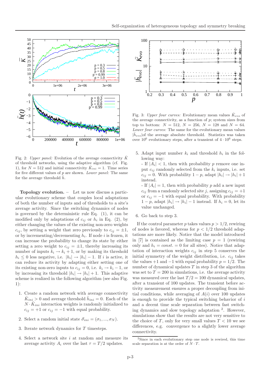

Fig. 2: Upper panel: Evolution of the average connectivity  $\bar{K}$ of threshold networks, using the adaptive algorithm (cf. Fig. 1), for  $N = 512$  and initial connectivity  $\bar{K}_{ini} = 1$ . Time series for five different values of  $p$  are shown. Lower panel: The same for the average threshold  $h$ .

Topology evolution. – Let us now discuss a particular evolutionary scheme that couples local adaptations of both the number of inputs and of thresholds to a site's average activity. Since the switching dynamics of nodes is governed by the deterministic rule Eq. (1), it can be modified only by adaptations of  $c_{ij}$  or  $h_i$  in Eq. (2), by either changing the values of the existing non-zero weights  $c_{ij}$ , by setting a weight that zero previously to  $c_{ij} = \pm 1$ , or by incrementing/decrementing  $h_i$ . If node i is frozen, it can increase the probability to change its state by either setting a zero weight to  $c_{ij} = \pm 1$ , thereby increasing its number of inputs  $k_i \rightarrow k_i + 1$ , or by making its threshold  $h_i \leq 0$  less negative, i.e.  $|h_i| \to |h_i| - 1$ . If i is active, it can reduce its activity by adapting either setting one of its existing non-zero inputs to  $c_{ij} = 0$ , i.e.  $k_i \rightarrow k_i - 1$ , or by increasing its threshold  $|h_i| \to |h_i| + 1$ . This adaptive scheme is realized in the following algorithm (see also Fig. 1):

- 1. Create a random network with average connectivity  $\bar{K}_{ini} > 0$  and average threshold  $\bar{h}_{ini} = 0$ . Each of the  $N \cdot \bar{K}_{ini}$  interaction weights is randomly initialized to  $c_{ij} = +1$  or  $c_{ij} = -1$  with equal probability.
- 2. Select a random initial state  $\vec{\sigma}_{ini} = (\sigma_1, ..., \sigma_N)$ .
- 3. Iterate network dynamics for T timesteps.
- 4. Select a network site  $i$  at random and measure its average activity  $A_i$  over the last  $\tau = T/2$  updates.



Fig. 3: Upper four curves: Evolutionary mean values  $\bar{K}_{evo}$  of the average connectivity, as a function of  $p$ ; system sizes from top to bottom:  $N = 512$ ,  $N = 256$ ,  $N = 128$  and  $N = 64$ . Lower four curves: The same for the evolutionary mean values  $|\bar{h}_{evo}|$  of the average absolute threshold. Statistics was taken over  $10^6$  evolutionary steps, after a transient of  $4 \cdot 10^6$  steps.

5. Adapt input number  $k_i$  and threshold  $h_i$  in the following way:

- If  $|A_i|$  < 1, then with probability p remove one input  $c_{ij}$  randomly selected from the  $k_i$  inputs, i.e. set  $c_{ij} = 0$ . With probability  $1 - p$ , adapt  $|h_i| \rightarrow |h_i| + 1$ instead.

- If  $|A_i| = 1$ , then with probability p add a new input  $c_{ij}$  from a randomly selected site j, assigning  $c_{ij} = +1$ or  $c_{ij} = -1$  with equal probability. With probability  $1 - p$ , adapt  $|h_i| \rightarrow |h_i| - 1$  instead. If  $h_i = 0$ , let its value unchanged.

6. Go back to step 3.

If the control parameter p takes values  $p > 1/2$ , rewiring of nodes is favored, whereas for  $p < 1/2$  threshold adaptations are more likely. Notice that the model introduced in [7] is contained as the limiting case  $p = 1$  (rewiring only and  $h_i = const. = 0$  for all sites). Notice that adaptation of interaction weights  $c_{ij}$  in step 5 conserves the initial symmetry of the weight distribution, i.e.  $c_{ij}$  takes the values +1 and  $-1$  with equal probability  $p = 1/2$ . The number of dynamical updates  $T$  in step 3 of the algorithm was set to  $T = 200$  in simulations, i.e. the average activity was measured over the last  $T/2 = 100$  dynamical updates, after a transient of 100 updates. The transient before activity measurement ensures a proper decoupling from initial conditions, while averaging of  $A(i)$  over 100 updates is enough to provide the typical switching behavior of  $i$ and a decent time scale separation between fast switching dynamics and slow topology adaptation <sup>2</sup> . However, simulations show that the results are not very sensitive to the choice of T, only for very small values  $T < 10$  we see differences, e.g. convergence to a slightly lower average connectivity.

<sup>2</sup>Since in each evolutionary step one node is rewired, this time scale separation is at the order of  $N \cdot T$ .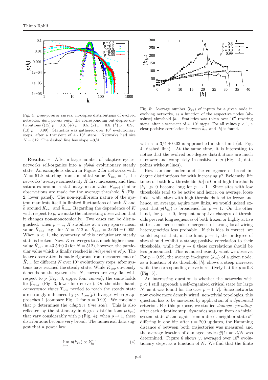

Fig. 4: Line-pointed curves: in-degree distributions of evolved networks, data points only: the corresponding out-degree distributions (( $\triangle$ )  $p = 0.3$ , (+)  $p = 0.5$ , (x)  $p = 0.8$ , (\*)  $p = 0.95$ , ( $\Box$ )  $p = 0.99$ ). Statistics was gathered over  $10^6$  evolutionary steps, after a transient of  $4 \cdot 10^6$  steps. Networks had size  $N = 512$ . The dashed line has slope  $-3/4$ .

Results. – After a large number of adaptive cycles, networks self-organize into a global evolutionary steady state. An example is shown in Figure 2 for networks with  $N = 512$ : starting from an initial value  $\bar{K}_{ini} = 1$ , the networks' average connectivity  $\bar{K}$  first increases, and then saturates around a stationary mean value  $\bar{K}_{evo}$ ; similar observations are made for the average threshold  $\bar{h}$  (Fig. 2, lower panel). The non-equilibrium nature of the system manifests itself in limited fluctuations of both  $K$  and  $\bar{h}$  around  $\bar{K}_{evo}$  and  $\bar{h}_{evo}$ . Regarding the dependence of  $\bar{K}$ with respect to  $p$ , we make the interesting observation that it changes non-monotonically. Two cases can be distinguished: when  $p = 1$ ,  $\overline{K}$  stabilizes at a very sparse mean value  $\bar{K}_{evo}$ , e.g. for  $N = 512$  at  $\bar{K}_{evo} = 2.664 \pm 0.005$ . When  $p < 1$ , the symmetry of this evolutionary steady state is broken. Now,  $\bar{K}$  converges to a much higher mean value  $\bar{K}_{evo} \approx 43.5 \pm 0.3$  (for  $N = 512$ ), however, the particular value which is finally reached is independent of p. The latter observation is made rigorous from measurements of  $\bar{K}_{evo}$  for different N over  $10^6$  evolutionary steps, after systems have reached the steady state. While  $\bar{K}_{evo}$  obviously depends on the system size  $N$ , curves are very flat with respect to  $p$  (Fig. 3, upper four curves); the same holds for  $|\bar{h}_{evo}|$  (Fig. 3, lower four curves). On the other hand, convergence times  $T_{con}$  needed to reach the steady state are strongly influenced by p:  $T_{con}(p)$  diverges when p approaches 1 (compare Fig. 2 for  $p = 0.99$ ). We conclude that  $p$  determines the *adaptive time scale*. This is also reflected by the stationary in-degree distributions  $p(k_{in})$ that vary considerably with p (Fig. 4); when  $p \to 1$ , these distributions become very broad. The numerical data suggest that a power law

$$
\lim_{p \to 1} p(k_{in}) \propto k_{in}^{-\gamma}
$$
\n(4)



Fig. 5: Average number  $\langle k_{in} \rangle$  of inputs for a given node in evolving networks, as a function of the respective nodes (absolute) threshold  $|h|$ . Statistics was taken over  $10^6$  rewiring steps, after a transient of  $4 \cdot 10^6$  steps. For all values  $p < 1$ , a clear positive correlation between  $\bar{k}_{in}$  and  $|h|$  is found.

with  $\gamma \approx 3/4 \pm 0.03$  is approached in this limit (cf. Fig. 4, dashed line). At the same time, it is interesting to notice that the evolved out-degree distributions are much narrower and completely insensitive to  $p$  (Fig. 4, data points without lines).

How can one understand the emergence of broad indegree distributions for with increasing  $p$ ? Evidently, life times of both low thresholds  $|h_i| \approx 0$  and high thresholds  $|h_i| \gg 0$  become long for  $p \to 1$ . Since sites with low thresholds tend to be active and hence, on average, loose links, while sites with high thresholds tend to freeze and hence, on average, aquire new links, we would indeed expect that  $p(k_{in})$  is broadened for  $p \to 1$ . On the other hand, for  $p \rightarrow 0$ , frequent adaptive changes of thresholds prevent long sequences of both frozen or highly active states, and hence make emergence of strong local wiring heterogeneities less probable. If this idea is correct, we would expect that, in the limit  $p \to 1$ , the in-degree of sites should exhibit a strong positive correlation to their thresholds, while for  $p \to 0$  these correlations should be less pronounced. This is indeed exactly what we observe. For  $p = 0.99$ , the average in-degree  $\langle k_{in} \rangle$  of a given node, as a function of its threshold  $|h|$ , shows a steep increase, while the corresponding curve is relatively flat for  $p = 0.3$ (Fig. 5).

An interesting question is whether the networks with  $p < 1$  still approach a self-organized critical state for large N, as it was found for the case  $p = 1$  [7]. Since networks now evolve more densely wired, non-trivial topologies, this question has to be answered by application of a dynamical criterion. For this purpose, we studied damage spreading: after each adaptive step, dynamics was run from an initial system state  $\vec{\sigma}$  and again from a direct neighbor state  $\vec{\sigma}'$ differing in one bit; after  $t = 200$  updates, the Hamming distance d between both trajectories was measured and the average fraction of damaged nodes  $\bar{y}(t) =: d/N$  was determined. Figure 6 shows  $\bar{y}$ , averaged over  $10^6$  evolutionary steps, as a function of  $N$ . We find that the finite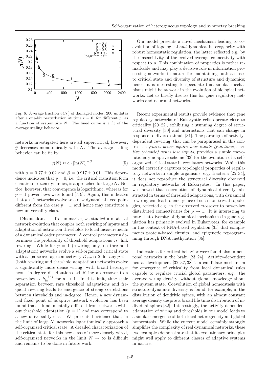

Fig. 6: Average fraction  $\bar{y}(N)$  of damaged nodes, 200 updates after a one-bit perturbation at time  $t = 0$ , for different p, as a function of system size N. The lined curve is a fit of the average scaling behavior.

networks investigated here are all supercritical, however,  $\bar{y}$  decreases monotonically with N. The average scaling behavior can be fit by

$$
y(N) \approx a \cdot [\ln(N)]^{-\beta} \tag{5}
$$

with  $a = 0.77 \pm 0.02$  and  $\beta = 0.917 \pm 0.01$ . This dependence indicates that  $\bar{y} = 0$ , i.e. the critical transition form chaotic to frozen dynamics, is approached for large N. Notice, however, that convergence is logarithmic, whereas for  $p = 1$  power laws were found [7,9]. Again, this indicates that  $p < 1$  networks evolve to a new dynamical fixed point different from the case  $p = 1$ , and hence may constitute a new universality class.

Discussion. – To summarize, we studied a model of network evolution that couples both rewiring of inputs and adaptation of activation thresholds to local measurements of a dynamical order parameter. A control parameter p determines the probability of threshold adaptations vs. link rewiring. While for  $p = 1$  (rewiring only, no threshold adaptation) networks evolve a self-organized critical state with a sparse average connectivity  $\bar{K}_{evo} \approx 2$ , for any  $p < 1$ (both rewiring and threshold adaptation) networks evolve a significantly more dense wiring, with broad heterogeneous in-degree distributions exhibiting a crossover to a power-law ~  $k_{in}^{-3/4}$  for  $p \to 1$ . In this limit, time scale separation between rare threshold adaptations and frequent rewiring leads to emergence of strong correlations between thresholds and in-degree. Hence, a new dynamical fixed point of adaptive network evolution has been found that is fundamentally different from networks without threshold adaptation  $(p = 1)$  and may correspond to a new universality class. We presented evidence that, in the limit of large N, networks logarithmically approach a self-organized critical state. A detailed characterization of the critical state for this new class of more densely wired, self-organized networks in the limit  $N \to \infty$  is difficult and remains to be done in future work.

Our model presents a novel mechanism leading to coevolution of topological and dynamical heterogeneity with robust homeostatic regulation, the latter reflected e.g. by the insensitivity of the evolved average connectivity with respect to p. This combination of properties is rather remarkable and may play a decisive role in information processing networks in nature for maintaining both a closeto critical state and diversity of structure and dynamics; hence, it is interesting to speculate that similar mechanisms might be at work in the evolution of biological networks. Let us briefly discuss this for gene regulatory networks and neuronal networks.

Recent experimental results provide evidence that gene regulatory networks of Eukaryotic cells operate close to criticality [20–22], exhibiting a stunning degree of structural diversity [30] and interactions that can change in response to diverse stimuli [31]. The paradigm of activitydependent rewiring, that can be paraphrased in this context as frozen genes aquire new inputs (functions), active (chaotic) genes lose inputs, provides a simple coevolutionary adaptive scheme [33] for the evolution of a selforganized critical state in regulatory networks. While this model correctly captures topological properties of regulatory networks in simple organisms, e.g. Bacteria [25, 34], it does not reproduce the structural diversity observed in regulatory networks of Eukaryotes. In this paper, we showed that coevolution of dynamical diversity, abstracted in terms of threshold adaptations, with dynamical rewiring can lead to emergence of such non-trivial topologies, reflected e.g. in the observed crossover to power-law distributed connectivities for  $p \to 1$ . It is interesting to note that diversity of dynamical mechanisms in gene regulation has primarily evolved in Eukaryotes, for example in the context of RNA-based regulation [35] that complements protein-based circuits, and epigenetic reprogramming through DNA methylation [36].

Indications for critical behavior were found also in neuronal networks in the brain [23, 24]. Activity-dependent neural development [32, 37, 38] is a candidate mechanism for emergence of criticality from local dynamical rules capable to regulate crucial global parameters, e.g. the average wiring density, without global knowledge about the system state. Coevolution of global homeostasis with structure-dynamics diversity is found, for example, in the distribution of dendritic spines, with an almost constant average density despite a broad life time distribution of individual spines [32]. Interestingly, the activity-dependent adaptation of wiring and thresholds in our model leads to a similar emergence of both local heterogeneity and global homeostasis. While the current model certainly strongly simplifies the complexity of real dynamical networks, these two examples demonstrate that its evolutionary principles might well apply to different classes of adaptive systems in nature.